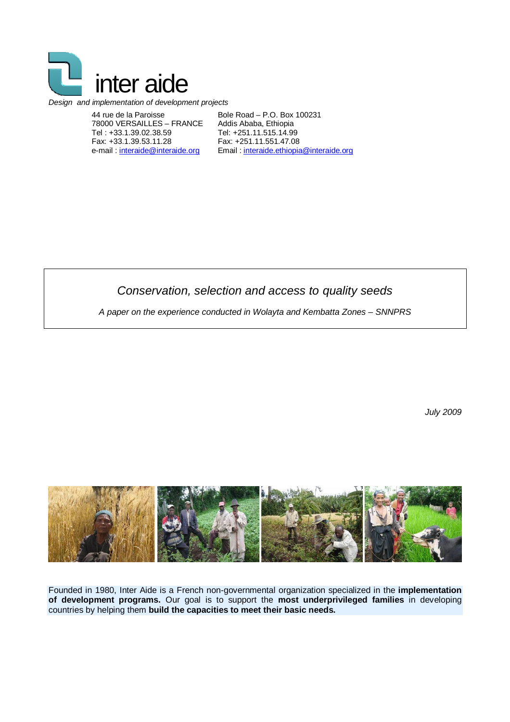

#### *Design and implementation of development projects*

44 rue de la Paroisse 78000 VERSAILLES – FRANCE Tel : +33.1.39.02.38.59 Fax: +33.1.39.53.11.28 e-mail : interaide@interaide.org

Bole Road – P.O. Box 100231 Addis Ababa, Ethiopia Tel: +251.11.515.14.99 Fax: +251.11.551.47.08 Email : interaide.ethiopia@interaide.org

*Conservation, selection and access to quality seeds*

*A paper on the experience conducted in Wolayta and Kembatta Zones – SNNPRS*

*July 2009*



Founded in 1980, Inter Aide is a French non-governmental organization specialized in the **implementation of development programs.** Our goal is to support the **most underprivileged families** in developing countries by helping them **build the capacities to meet their basic needs.**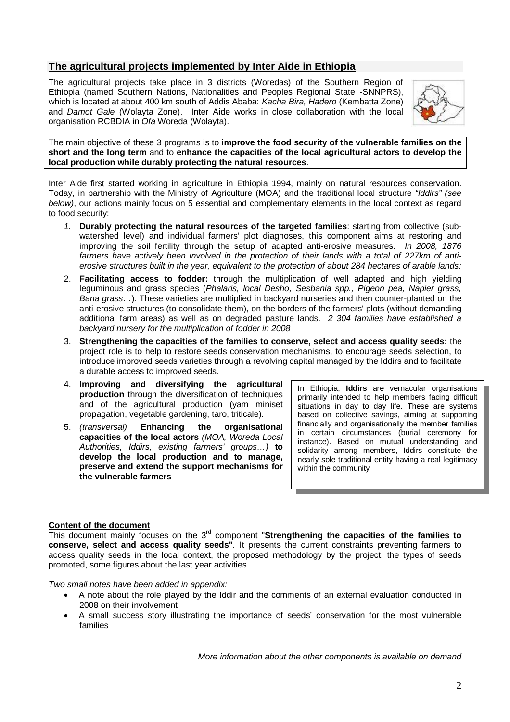# **The agricultural projects implemented by Inter Aide in Ethiopia**

The agricultural projects take place in 3 districts (Woredas) of the Southern Region of Ethiopia (named Southern Nations, Nationalities and Peoples Regional State -SNNPRS), which is located at about 400 km south of Addis Ababa: *Kacha Bira, Hadero* (Kembatta Zone) and *Damot Gale* (Wolayta Zone). Inter Aide works in close collaboration with the local organisation RCBDIA in *Ofa* Woreda (Wolayta).



The main objective of these 3 programs is to **improve the food security of the vulnerable families on the short and the long term** and to **enhance the capacities of the local agricultural actors to develop the local production while durably protecting the natural resources**.

Inter Aide first started working in agriculture in Ethiopia 1994, mainly on natural resources conservation. Today, in partnership with the Ministry of Agriculture (MOA) and the traditional local structure *"Iddirs" (see below)*, our actions mainly focus on 5 essential and complementary elements in the local context as regard to food security:

- *1.* **Durably protecting the natural resources of the targeted families**: starting from collective (subwatershed level) and individual farmers' plot diagnoses, this component aims at restoring and improving the soil fertility through the setup of adapted anti-erosive measures. *In 2008, 1876 farmers have actively been involved in the protection of their lands with a total of 227km of antierosive structures built in the year, equivalent to the protection of about 284 hectares of arable lands:*
- 2. **Facilitating access to fodder:** through the multiplication of well adapted and high yielding leguminous and grass species (*Phalaris, local Desho, Sesbania spp., Pigeon pea, Napier grass, Bana grass…*). These varieties are multiplied in backyard nurseries and then counter-planted on the anti-erosive structures (to consolidate them), on the borders of the farmers' plots (without demanding additional farm areas) as well as on degraded pasture lands. *2 304 families have established a backyard nursery for the multiplication of fodder in 2008*
- 3. **Strengthening the capacities of the families to conserve, select and access quality seeds:** the project role is to help to restore seeds conservation mechanisms, to encourage seeds selection, to introduce improved seeds varieties through a revolving capital managed by the Iddirs and to facilitate a durable access to improved seeds.
- 4. **Improving and diversifying the agricultural production** through the diversification of techniques and of the agricultural production (yam miniset propagation, vegetable gardening, taro, triticale).
- 5. *(transversal)* **Enhancing the organisational capacities of the local actors** *(MOA, Woreda Local Authorities, Iddirs, existing farmers' groups…)* **to develop the local production and to manage, preserve and extend the support mechanisms for the vulnerable farmers**

In Ethiopia, **Iddirs** are vernacular organisations primarily intended to help members facing difficult situations in day to day life. These are systems based on collective savings, aiming at supporting financially and organisationally the member families in certain circumstances (burial ceremony for instance). Based on mutual understanding and solidarity among members, Iddirs constitute the nearly sole traditional entity having a real legitimacy within the community

# **Content of the document**

This document mainly focuses on the 3<sup>rd</sup> component "Strengthening the capacities of the families to **conserve, select and access quality seeds"***.* It presents the current constraints preventing farmers to access quality seeds in the local context, the proposed methodology by the project, the types of seeds promoted, some figures about the last year activities.

*Two small notes have been added in appendix:*

- A note about the role played by the Iddir and the comments of an external evaluation conducted in 2008 on their involvement
- A small success story illustrating the importance of seeds' conservation for the most vulnerable families

*More information about the other components is available on demand*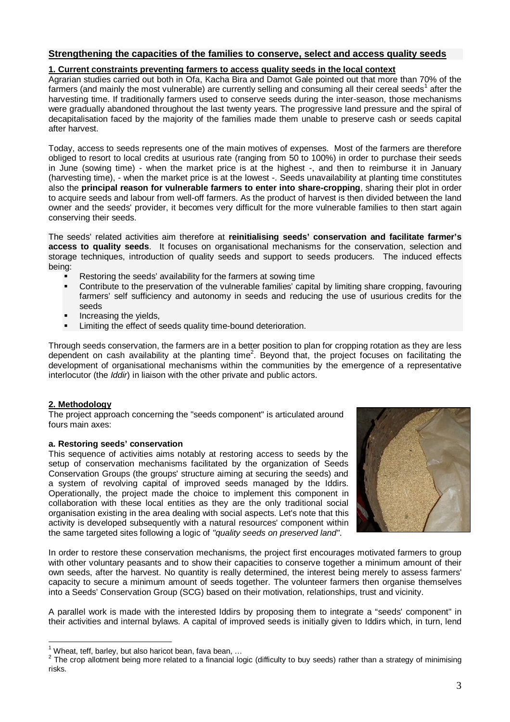# **Strengthening the capacities of the families to conserve, select and access quality seeds**

## **1. Current constraints preventing farmers to access quality seeds in the local context**

Agrarian studies carried out both in Ofa, Kacha Bira and Damot Gale pointed out that more than 70% of the farmers (and mainly the most vulnerable) are currently selling and consuming all their cereal seeds<sup>1</sup> after the harvesting time. If traditionally farmers used to conserve seeds during the inter-season, those mechanisms were gradually abandoned throughout the last twenty years. The progressive land pressure and the spiral of decapitalisation faced by the majority of the families made them unable to preserve cash or seeds capital after harvest.

Today, access to seeds represents one of the main motives of expenses. Most of the farmers are therefore obliged to resort to local credits at usurious rate (ranging from 50 to 100%) in order to purchase their seeds in June (sowing time) - when the market price is at the highest -, and then to reimburse it in January (harvesting time), - when the market price is at the lowest -. Seeds unavailability at planting time constitutes also the **principal reason for vulnerable farmers to enter into share-cropping**, sharing their plot in order to acquire seeds and labour from well-off farmers. As the product of harvest is then divided between the land owner and the seeds' provider, it becomes very difficult for the more vulnerable families to then start again conserving their seeds.

The seeds' related activities aim therefore at **reinitialising seeds' conservation and facilitate farmer's access to quality seeds**. It focuses on organisational mechanisms for the conservation, selection and storage techniques, introduction of quality seeds and support to seeds producers. The induced effects being:

- **Restoring the seeds' availability for the farmers at sowing time**
- Contribute to the preservation of the vulnerable families' capital by limiting share cropping, favouring farmers' self sufficiency and autonomy in seeds and reducing the use of usurious credits for the seeds
- Increasing the yields,
- Limiting the effect of seeds quality time-bound deterioration.

Through seeds conservation, the farmers are in a better position to plan for cropping rotation as they are less dependent on cash availability at the planting time<sup>2</sup>. Beyond that, the project focuses on facilitating the development of organisational mechanisms within the communities by the emergence of a representative interlocutor (the *Iddir*) in liaison with the other private and public actors.

## **2. Methodology**

The project approach concerning the "seeds component" is articulated around fours main axes:

## **a. Restoring seeds' conservation**

This sequence of activities aims notably at restoring access to seeds by the setup of conservation mechanisms facilitated by the organization of Seeds Conservation Groups (the groups' structure aiming at securing the seeds) and a system of revolving capital of improved seeds managed by the Iddirs. Operationally, the project made the choice to implement this component in collaboration with these local entities as they are the only traditional social organisation existing in the area dealing with social aspects. Let's note that this activity is developed subsequently with a natural resources' component within the same targeted sites following a logic of *"quality seeds on preserved land"*.



In order to restore these conservation mechanisms, the project first encourages motivated farmers to group with other voluntary peasants and to show their capacities to conserve together a minimum amount of their own seeds, after the harvest. No quantity is really determined, the interest being merely to assess farmers' capacity to secure a minimum amount of seeds together. The volunteer farmers then organise themselves into a Seeds' Conservation Group (SCG) based on their motivation, relationships, trust and vicinity.

A parallel work is made with the interested Iddirs by proposing them to integrate a "seeds' component" in their activities and internal bylaws. A capital of improved seeds is initially given to Iddirs which, in turn, lend

 Wheat, teff, barley, but also haricot bean, fava bean, ...

 $2$  The crop allotment being more related to a financial logic (difficulty to buy seeds) rather than a strategy of minimising risks.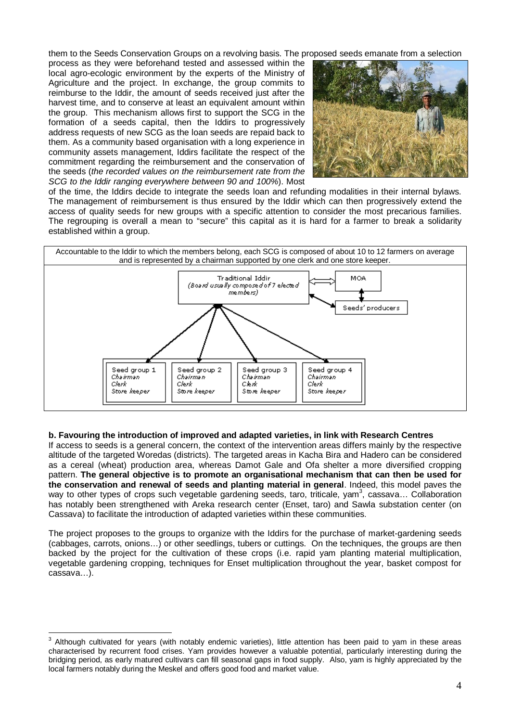them to the Seeds Conservation Groups on a revolving basis. The proposed seeds emanate from a selection

process as they were beforehand tested and assessed within the local agro-ecologic environment by the experts of the Ministry of Agriculture and the project. In exchange, the group commits to reimburse to the Iddir, the amount of seeds received just after the harvest time, and to conserve at least an equivalent amount within the group. This mechanism allows first to support the SCG in the formation of a seeds capital, then the Iddirs to progressively address requests of new SCG as the loan seeds are repaid back to them. As a community based organisation with a long experience in community assets management, Iddirs facilitate the respect of the commitment regarding the reimbursement and the conservation of the seeds (*the recorded values on the reimbursement rate from the SCG to the Iddir ranging everywhere between 90 and 100%*). Most



of the time, the Iddirs decide to integrate the seeds loan and refunding modalities in their internal bylaws. The management of reimbursement is thus ensured by the Iddir which can then progressively extend the access of quality seeds for new groups with a specific attention to consider the most precarious families. The regrouping is overall a mean to "secure" this capital as it is hard for a farmer to break a solidarity established within a group.



## **b. Favouring the introduction of improved and adapted varieties, in link with Research Centres**

If access to seeds is a general concern, the context of the intervention areas differs mainly by the respective altitude of the targeted Woredas (districts). The targeted areas in Kacha Bira and Hadero can be considered as a cereal (wheat) production area, whereas Damot Gale and Ofa shelter a more diversified cropping pattern. **The general objective is to promote an organisational mechanism that can then be used for the conservation and renewal of seeds and planting material in general**. Indeed, this model paves the way to other types of crops such vegetable gardening seeds, taro, triticale, yam<sup>3</sup>, cassava... Collaboration has notably been strengthened with Areka research center (Enset, taro) and Sawla substation center (on Cassava) to facilitate the introduction of adapted varieties within these communities.

The project proposes to the groups to organize with the Iddirs for the purchase of market-gardening seeds (cabbages, carrots, onions…) or other seedlings, tubers or cuttings. On the techniques, the groups are then backed by the project for the cultivation of these crops (i.e. rapid yam planting material multiplication, vegetable gardening cropping, techniques for Enset multiplication throughout the year, basket compost for cassava…).

 $\overline{a}$  $3$  Although cultivated for years (with notably endemic varieties), little attention has been paid to yam in these areas characterised by recurrent food crises. Yam provides however a valuable potential, particularly interesting during the bridging period, as early matured cultivars can fill seasonal gaps in food supply. Also, yam is highly appreciated by the local farmers notably during the Meskel and offers good food and market value.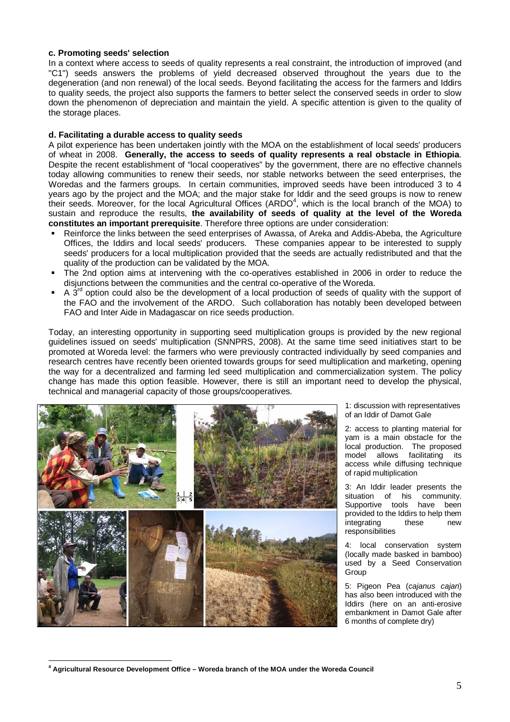#### **c. Promoting seeds' selection**

In a context where access to seeds of quality represents a real constraint, the introduction of improved (and "C1") seeds answers the problems of yield decreased observed throughout the years due to the degeneration (and non renewal) of the local seeds. Beyond facilitating the access for the farmers and Iddirs to quality seeds, the project also supports the farmers to better select the conserved seeds in order to slow down the phenomenon of depreciation and maintain the yield. A specific attention is given to the quality of the storage places.

#### **d. Facilitating a durable access to quality seeds**

A pilot experience has been undertaken jointly with the MOA on the establishment of local seeds' producers of wheat in 2008. **Generally, the access to seeds of quality represents a real obstacle in Ethiopia**. Despite the recent establishment of "local cooperatives" by the government, there are no effective channels today allowing communities to renew their seeds, nor stable networks between the seed enterprises, the Woredas and the farmers groups. In certain communities, improved seeds have been introduced 3 to 4 years ago by the project and the MOA; and the major stake for Iddir and the seed groups is now to renew their seeds. Moreover, for the local Agricultural Offices (ARDO<sup>4</sup>, which is the local branch of the MOA) to sustain and reproduce the results, **the availability of seeds of quality at the level of the Woreda constitutes an important prerequisite**. Therefore three options are under consideration:

- Reinforce the links between the seed enterprises of Awassa, of Areka and Addis-Abeba, the Agriculture Offices, the Iddirs and local seeds' producers. These companies appear to be interested to supply seeds' producers for a local multiplication provided that the seeds are actually redistributed and that the quality of the production can be validated by the MOA.
- The 2nd option aims at intervening with the co-operatives established in 2006 in order to reduce the disjunctions between the communities and the central co-operative of the Woreda.
- $\blacksquare$  A 3<sup>rd</sup> option could also be the development of a local production of seeds of quality with the support of the FAO and the involvement of the ARDO. Such collaboration has notably been developed between FAO and Inter Aide in Madagascar on rice seeds production.

Today, an interesting opportunity in supporting seed multiplication groups is provided by the new regional guidelines issued on seeds' multiplication (SNNPRS, 2008). At the same time seed initiatives start to be promoted at Woreda level: the farmers who were previously contracted individually by seed companies and research centres have recently been oriented towards groups for seed multiplication and marketing, opening the way for a decentralized and farming led seed multiplication and commercialization system. The policy change has made this option feasible. However, there is still an important need to develop the physical, technical and managerial capacity of those groups/cooperatives.



1: discussion with representatives of an Iddir of Damot Gale

2: access to planting material for yam is a main obstacle for the local production. The proposed<br>model allows facilitating its model allows facilitating access while diffusing technique of rapid multiplication

3: An Iddir leader presents the situation of his community. Supportive tools have been provided to the Iddirs to help them integrating these new responsibilities

4: local conservation system (locally made basked in bamboo) used by a Seed Conservation Group

5: Pigeon Pea (*cajanus cajan*) has also been introduced with the Iddirs (here on an anti-erosive embankment in Damot Gale after 6 months of complete dry)

 $\overline{a}$ **<sup>4</sup> Agricultural Resource Development Office – Woreda branch of the MOA under the Woreda Council**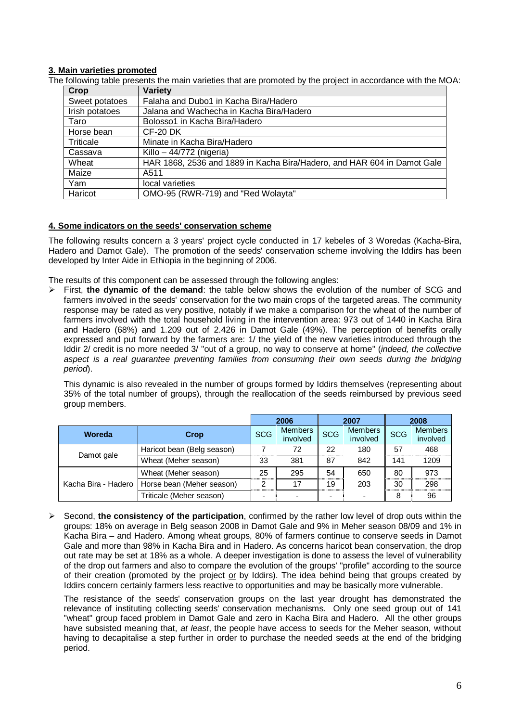# **3. Main varieties promoted**

The following table presents the main varieties that are promoted by the project in accordance with the MOA:

| Crop           | Variety                                                                 |
|----------------|-------------------------------------------------------------------------|
| Sweet potatoes | Falaha and Dubo1 in Kacha Bira/Hadero                                   |
| Irish potatoes | Jalana and Wachecha in Kacha Bira/Hadero                                |
| Taro           | Bolosso1 in Kacha Bira/Hadero                                           |
| Horse bean     | $CF-20$ DK                                                              |
| Triticale      | Minate in Kacha Bira/Hadero                                             |
| Cassava        | Killo - $44/772$ (nigeria)                                              |
| Wheat          | HAR 1868, 2536 and 1889 in Kacha Bira/Hadero, and HAR 604 in Damot Gale |
| Maize          | A511                                                                    |
| Yam            | local varieties                                                         |
| Haricot        | OMO-95 (RWR-719) and "Red Wolayta"                                      |

#### **4. Some indicators on the seeds' conservation scheme**

The following results concern a 3 years' project cycle conducted in 17 kebeles of 3 Woredas (Kacha-Bira, Hadero and Damot Gale). The promotion of the seeds' conservation scheme involving the Iddirs has been developed by Inter Aide in Ethiopia in the beginning of 2006.

The results of this component can be assessed through the following angles:

 $\triangleright$  First, the dynamic of the demand: the table below shows the evolution of the number of SCG and farmers involved in the seeds' conservation for the two main crops of the targeted areas. The community response may be rated as very positive, notably if we make a comparison for the wheat of the number of farmers involved with the total household living in the intervention area: 973 out of 1440 in Kacha Bira and Hadero (68%) and 1.209 out of 2.426 in Damot Gale (49%). The perception of benefits orally expressed and put forward by the farmers are: 1/ the yield of the new varieties introduced through the Iddir 2/ credit is no more needed 3/ "out of a group, no way to conserve at home" (*indeed, the collective aspect is a real guarantee preventing families from consuming their own seeds during the bridging period*).

This dynamic is also revealed in the number of groups formed by Iddirs themselves (representing about 35% of the total number of groups), through the reallocation of the seeds reimbursed by previous seed group members.

|                     |                            |            | 2006                       |            | 2007                       | 2008       |                            |  |
|---------------------|----------------------------|------------|----------------------------|------------|----------------------------|------------|----------------------------|--|
| Woreda              | Crop                       | <b>SCG</b> | <b>Members</b><br>involved | <b>SCG</b> | <b>Members</b><br>involved | <b>SCG</b> | <b>Members</b><br>involved |  |
| Damot gale          | Haricot bean (Belg season) |            | 72                         | 22         | 180                        | 57         | 468                        |  |
|                     | Wheat (Meher season)       | 33         | 381                        | 87         | 842                        | 141        | 1209                       |  |
| Kacha Bira - Hadero | Wheat (Meher season)       | 25         | 295                        | 54         | 650                        | 80         | 973                        |  |
|                     | Horse bean (Meher season)  |            | 17                         | 19         | 203                        | 30         | 298                        |  |
|                     | Triticale (Meher season)   |            |                            |            |                            | 8          | 96                         |  |

 Second, **the consistency of the participation**, confirmed by the rather low level of drop outs within the groups: 18% on average in Belg season 2008 in Damot Gale and 9% in Meher season 08/09 and 1% in Kacha Bira – and Hadero. Among wheat groups, 80% of farmers continue to conserve seeds in Damot Gale and more than 98% in Kacha Bira and in Hadero. As concerns haricot bean conservation, the drop out rate may be set at 18% as a whole. A deeper investigation is done to assess the level of vulnerability of the drop out farmers and also to compare the evolution of the groups' "profile" according to the source of their creation (promoted by the project or by Iddirs). The idea behind being that groups created by Iddirs concern certainly farmers less reactive to opportunities and may be basically more vulnerable.

The resistance of the seeds' conservation groups on the last year drought has demonstrated the relevance of instituting collecting seeds' conservation mechanisms. Only one seed group out of 141 "wheat" group faced problem in Damot Gale and zero in Kacha Bira and Hadero. All the other groups have subsisted meaning that, *at least*, the people have access to seeds for the Meher season, without having to decapitalise a step further in order to purchase the needed seeds at the end of the bridging period.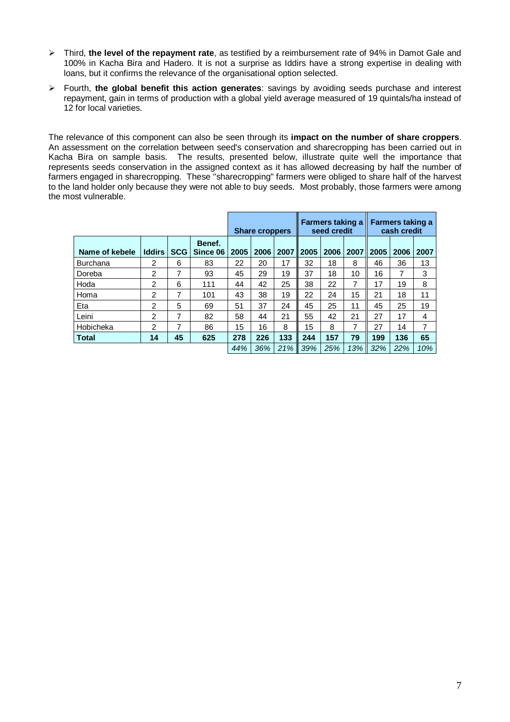- Third, **the level of the repayment rate**, as testified by a reimbursement rate of 94% in Damot Gale and 100% in Kacha Bira and Hadero. It is not a surprise as Iddirs have a strong expertise in dealing with loans, but it confirms the relevance of the organisational option selected.
- Fourth, **the global benefit this action generates**: savings by avoiding seeds purchase and interest repayment, gain in terms of production with a global yield average measured of 19 quintals/ha instead of 12 for local varieties.

The relevance of this component can also be seen through its **impact on the number of share croppers**. An assessment on the correlation between seed's conservation and sharecropping has been carried out in Kacha Bira on sample basis. The results, presented below, illustrate quite well the importance that represents seeds conservation in the assigned context as it has allowed decreasing by half the number of farmers engaged in sharecropping. These "sharecropping" farmers were obliged to share half of the harvest to the land holder only because they were not able to buy seeds. Most probably, those farmers were among the most vulnerable.

|                 |                |            |                    | <b>Share croppers</b> |      |      | Farmers taking a<br>seed credit |      |      | Farmers taking a<br>cash credit |      |      |
|-----------------|----------------|------------|--------------------|-----------------------|------|------|---------------------------------|------|------|---------------------------------|------|------|
| Name of kebele  | <b>Iddirs</b>  | <b>SCG</b> | Benef.<br>Since 06 | 2005                  | 2006 | 2007 | 2005                            | 2006 | 2007 | 2005                            | 2006 | 2007 |
| <b>Burchana</b> | 2              | 6          | 83                 | 22                    | 20   | 17   | 32                              | 18   | 8    | 46                              | 36   | 13   |
| Doreba          | $\overline{2}$ | 7          | 93                 | 45                    | 29   | 19   | 37                              | 18   | 10   | 16                              | 7    | 3    |
| Hoda            | $\overline{2}$ | 6          | 111                | 44                    | 42   | 25   | 38                              | 22   | 7    | 17                              | 19   | 8    |
| Homa            | $\overline{2}$ | 7          | 101                | 43                    | 38   | 19   | 22                              | 24   | 15   | 21                              | 18   | 11   |
| Eta             | 2              | 5          | 69                 | 51                    | 37   | 24   | 45                              | 25   | 11   | 45                              | 25   | 19   |
| Leini           | $\overline{2}$ | 7          | 82                 | 58                    | 44   | 21   | 55                              | 42   | 21   | 27                              | 17   | 4    |
| Hobicheka       | $\overline{2}$ | 7          | 86                 | 15                    | 16   | 8    | 15                              | 8    | 7    | 27                              | 14   | 7    |
| <b>Total</b>    | 14             | 45         | 625                | 278                   | 226  | 133  | 244                             | 157  | 79   | 199                             | 136  | 65   |
|                 |                |            |                    | 44%                   | 36%  | 21%  | 39%                             | 25%  | 13%  | 32%                             | 22%  | 10%  |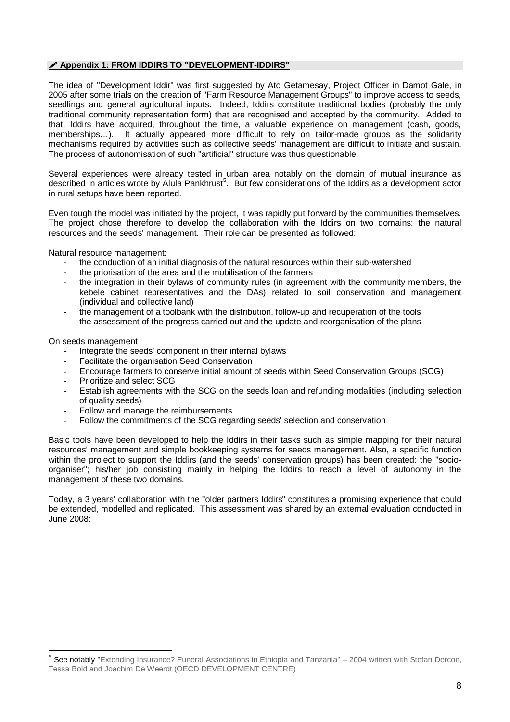# **Appendix 1: FROM IDDIRS TO "DEVELOPMENT-IDDIRS"**

The idea of "Development Iddir" was first suggested by Ato Getamesay, Project Officer in Damot Gale, in 2005 after some trials on the creation of "Farm Resource Management Groups" to improve access to seeds, seedlings and general agricultural inputs. Indeed, Iddirs constitute traditional bodies (probably the only traditional community representation form) that are recognised and accepted by the community. Added to that, Iddirs have acquired, throughout the time, a valuable experience on management (cash, goods, memberships…). It actually appeared more difficult to rely on tailor-made groups as the solidarity mechanisms required by activities such as collective seeds' management are difficult to initiate and sustain. The process of autonomisation of such "artificial" structure was thus questionable.

Several experiences were already tested in urban area notably on the domain of mutual insurance as described in articles wrote by Alula Pankhrust<sup>5</sup>. But few considerations of the Iddirs as a development actor in rural setups have been reported.

Even tough the model was initiated by the project, it was rapidly put forward by the communities themselves. The project chose therefore to develop the collaboration with the Iddirs on two domains: the natural resources and the seeds' management. Their role can be presented as followed:

Natural resource management:

- the conduction of an initial diagnosis of the natural resources within their sub-watershed
- the priorisation of the area and the mobilisation of the farmers
- the integration in their bylaws of community rules (in agreement with the community members, the kebele cabinet representatives and the DAs) related to soil conservation and management (individual and collective land)
- the management of a toolbank with the distribution, follow-up and recuperation of the tools
- the assessment of the progress carried out and the update and reorganisation of the plans

On seeds management

- Integrate the seeds' component in their internal bylaws
- Facilitate the organisation Seed Conservation
- Encourage farmers to conserve initial amount of seeds within Seed Conservation Groups (SCG)
- Prioritize and select SCG
- Establish agreements with the SCG on the seeds loan and refunding modalities (including selection of quality seeds)
- Follow and manage the reimbursements
- Follow the commitments of the SCG regarding seeds' selection and conservation

Basic tools have been developed to help the Iddirs in their tasks such as simple mapping for their natural resources' management and simple bookkeeping systems for seeds management. Also, a specific function within the project to support the Iddirs (and the seeds' conservation groups) has been created: the "socioorganiser"; his/her job consisting mainly in helping the Iddirs to reach a level of autonomy in the management of these two domains.

Today, a 3 years' collaboration with the "older partners Iddirs" constitutes a promising experience that could be extended, modelled and replicated. This assessment was shared by an external evaluation conducted in June 2008:

 $\overline{a}$ <sup>5</sup> See notably "Extending Insurance? Funeral Associations in Ethiopia and Tanzania" – 2004 written with Stefan Dercon, Tessa Bold and Joachim De Weerdt (OECD DEVELOPMENT CENTRE)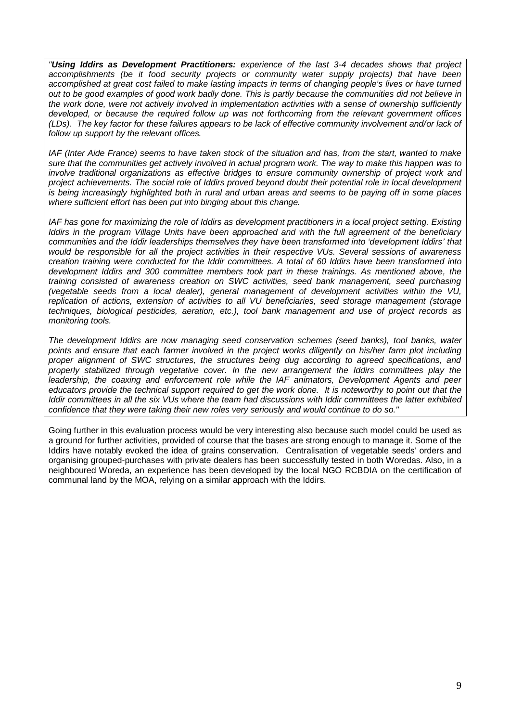*"Using Iddirs as Development Practitioners: experience of the last 3-4 decades shows that project accomplishments (be it food security projects or community water supply projects) that have been accomplished at great cost failed to make lasting impacts in terms of changing people's lives or have turned out to be good examples of good work badly done. This is partly because the communities did not believe in*  the work done, were not actively involved in implementation activities with a sense of ownership sufficiently *developed, or because the required follow up was not forthcoming from the relevant government offices (LDs). The key factor for these failures appears to be lack of effective community involvement and/or lack of follow up support by the relevant offices.* 

*IAF (Inter Aide France) seems to have taken stock of the situation and has, from the start, wanted to make sure that the communities get actively involved in actual program work. The way to make this happen was to involve traditional organizations as effective bridges to ensure community ownership of project work and project achievements. The social role of Iddirs proved beyond doubt their potential role in local development is being increasingly highlighted both in rural and urban areas and seems to be paying off in some places where sufficient effort has been put into binging about this change.*

*IAF has gone for maximizing the role of Iddirs as development practitioners in a local project setting. Existing Iddirs in the program Village Units have been approached and with the full agreement of the beneficiary communities and the Iddir leaderships themselves they have been transformed into 'development Iddirs' that would be responsible for all the project activities in their respective VUs. Several sessions of awareness creation training were conducted for the Iddir committees. A total of 60 Iddirs have been transformed into development Iddirs and 300 committee members took part in these trainings. As mentioned above, the training consisted of awareness creation on SWC activities, seed bank management, seed purchasing (vegetable seeds from a local dealer), general management of development activities within the VU, replication of actions, extension of activities to all VU beneficiaries, seed storage management (storage techniques, biological pesticides, aeration, etc.), tool bank management and use of project records as monitoring tools.* 

*The development Iddirs are now managing seed conservation schemes (seed banks), tool banks, water points and ensure that each farmer involved in the project works diligently on his/her farm plot including proper alignment of SWC structures, the structures being dug according to agreed specifications, and properly stabilized through vegetative cover. In the new arrangement the Iddirs committees play the leadership, the coaxing and enforcement role while the IAF animators, Development Agents and peer educators provide the technical support required to get the work done. It is noteworthy to point out that the Iddir committees in all the six VUs where the team had discussions with Iddir committees the latter exhibited confidence that they were taking their new roles very seriously and would continue to do so."*

Going further in this evaluation process would be very interesting also because such model could be used as a ground for further activities, provided of course that the bases are strong enough to manage it. Some of the Iddirs have notably evoked the idea of grains conservation. Centralisation of vegetable seeds' orders and organising grouped-purchases with private dealers has been successfully tested in both Woredas. Also, in a neighboured Woreda, an experience has been developed by the local NGO RCBDIA on the certification of communal land by the MOA, relying on a similar approach with the Iddirs.